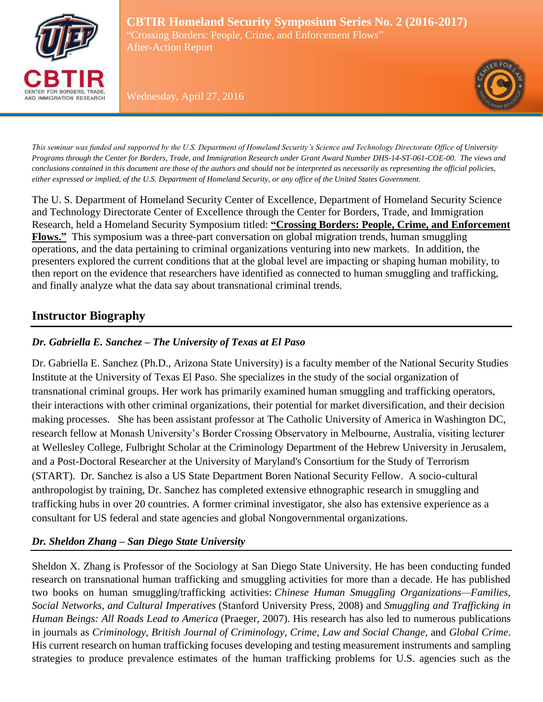

**CBTIR Homeland Security Symposium Series No. 2 (2016-2017)** "Crossing Borders: People, Crime, and Enforcement Flows" After-Action Report

Wednesday, April 27, 2016



*This seminar was funded and supported by the U.S. Department of Homeland Security's Science and Technology Directorate Office of University Programs through the Center for Borders, Trade, and Immigration Research under Grant Award Number DHS-14-ST-061-COE-00. The views and conclusions contained in this document are those of the authors and should not be interpreted as necessarily as representing the official policies, either expressed or implied, of the U.S. Department of Homeland Security, or any office of the United States Government.*

The U. S. Department of Homeland Security Center of Excellence, Department of Homeland Security Science and Technology Directorate Center of Excellence through the Center for Borders, Trade, and Immigration Research, held a Homeland Security Symposium titled: **"Crossing Borders: People, Crime, and Enforcement Flows."** This symposium was a three-part conversation on global migration trends, human smuggling operations, and the data pertaining to criminal organizations venturing into new markets. In addition, the presenters explored the current conditions that at the global level are impacting or shaping human mobility, to then report on the evidence that researchers have identified as connected to human smuggling and trafficking, and finally analyze what the data say about transnational criminal trends.

## **Instructor Biography**

### *Dr. Gabriella E. Sanchez – The University of Texas at El Paso*

Dr. Gabriella E. Sanchez (Ph.D., Arizona State University) is a faculty member of the National Security Studies Institute at the University of Texas El Paso. She specializes in the study of the social organization of transnational criminal groups. Her work has primarily examined human smuggling and trafficking operators, their interactions with other criminal organizations, their potential for market diversification, and their decision making processes. She has been assistant professor at The Catholic University of America in Washington DC, research fellow at Monash University's Border Crossing Observatory in Melbourne, Australia, visiting lecturer at Wellesley College, Fulbright Scholar at the Criminology Department of the Hebrew University in Jerusalem, and a Post-Doctoral Researcher at the University of Maryland's Consortium for the Study of Terrorism (START). Dr. Sanchez is also a US State Department Boren National Security Fellow. A socio-cultural anthropologist by training, Dr. Sanchez has completed extensive ethnographic research in smuggling and trafficking hubs in over 20 countries. A former criminal investigator, she also has extensive experience as a consultant for US federal and state agencies and global Nongovernmental organizations.

### *Dr. Sheldon Zhang – San Diego State University*

Sheldon X. Zhang is Professor of the Sociology at San Diego State University. He has been conducting funded research on transnational human trafficking and smuggling activities for more than a decade. He has published two books on human smuggling/trafficking activities: *Chinese Human Smuggling Organizations—Families, Social Networks, and Cultural Imperatives* (Stanford University Press, 2008) and *Smuggling and Trafficking in Human Beings: All Roads Lead to America* (Praeger, 2007). His research has also led to numerous publications in journals as *Criminology*, *British Journal of Criminology*, *Crime, Law and Social Change*, and *Global Crime*. His current research on human trafficking focuses developing and testing measurement instruments and sampling strategies to produce prevalence estimates of the human trafficking problems for U.S. agencies such as the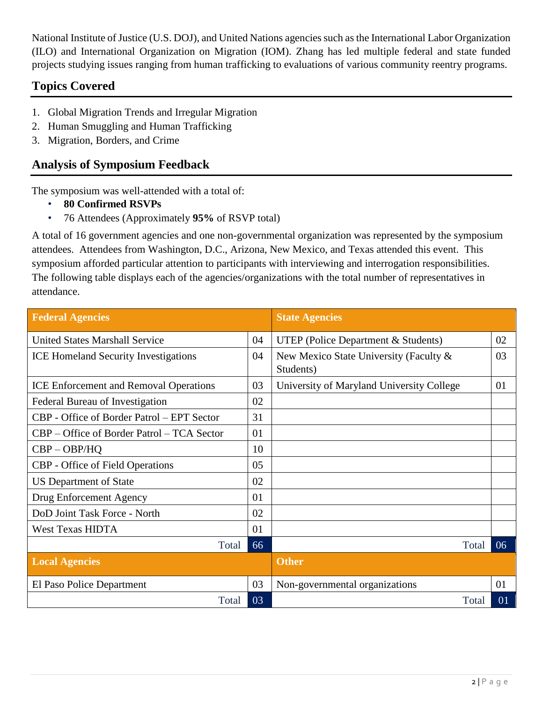National Institute of Justice (U.S. DOJ), and United Nations agencies such as the International Labor Organization (ILO) and International Organization on Migration (IOM). Zhang has led multiple federal and state funded projects studying issues ranging from human trafficking to evaluations of various community reentry programs.

# **Topics Covered**

- 1. Global Migration Trends and Irregular Migration
- 2. Human Smuggling and Human Trafficking
- 3. Migration, Borders, and Crime

## **Analysis of Symposium Feedback**

The symposium was well-attended with a total of:

- **80 Confirmed RSVPs**
- 76 Attendees (Approximately **95%** of RSVP total)

A total of 16 government agencies and one non-governmental organization was represented by the symposium attendees. Attendees from Washington, D.C., Arizona, New Mexico, and Texas attended this event. This symposium afforded particular attention to participants with interviewing and interrogation responsibilities. The following table displays each of the agencies/organizations with the total number of representatives in attendance.

| <b>Federal Agencies</b>                       |    | <b>State Agencies</b>                               |    |
|-----------------------------------------------|----|-----------------------------------------------------|----|
| <b>United States Marshall Service</b>         | 04 | <b>UTEP</b> (Police Department & Students)          | 02 |
| <b>ICE Homeland Security Investigations</b>   | 04 | New Mexico State University (Faculty &<br>Students) | 03 |
| <b>ICE Enforcement and Removal Operations</b> | 03 | University of Maryland University College           | 01 |
| Federal Bureau of Investigation               | 02 |                                                     |    |
| CBP - Office of Border Patrol – EPT Sector    | 31 |                                                     |    |
| CBP – Office of Border Patrol – TCA Sector    | 01 |                                                     |    |
| $CBP - OBP/HQ$                                | 10 |                                                     |    |
| CBP - Office of Field Operations              | 05 |                                                     |    |
| <b>US Department of State</b>                 | 02 |                                                     |    |
| Drug Enforcement Agency                       | 01 |                                                     |    |
| DoD Joint Task Force - North                  | 02 |                                                     |    |
| <b>West Texas HIDTA</b>                       | 01 |                                                     |    |
| Total                                         | 66 | Total                                               | 06 |
| <b>Local Agencies</b>                         |    | <b>Other</b>                                        |    |
| El Paso Police Department                     | 03 | Non-governmental organizations                      | 01 |
| Total                                         | 03 | Total                                               | 01 |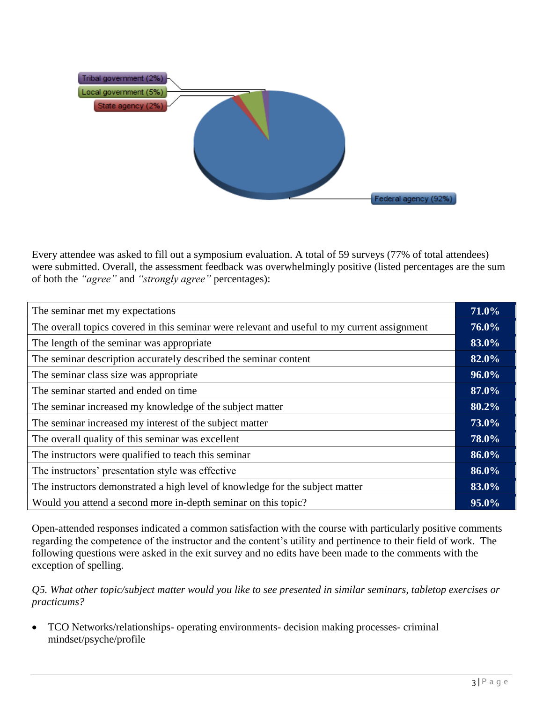

Every attendee was asked to fill out a symposium evaluation. A total of 59 surveys (77% of total attendees) were submitted. Overall, the assessment feedback was overwhelmingly positive (listed percentages are the sum of both the *"agree"* and *"strongly agree"* percentages):

| The seminar met my expectations                                                              |  |
|----------------------------------------------------------------------------------------------|--|
| The overall topics covered in this seminar were relevant and useful to my current assignment |  |
| The length of the seminar was appropriate                                                    |  |
| The seminar description accurately described the seminar content                             |  |
| The seminar class size was appropriate                                                       |  |
| The seminar started and ended on time                                                        |  |
| The seminar increased my knowledge of the subject matter                                     |  |
| The seminar increased my interest of the subject matter                                      |  |
| The overall quality of this seminar was excellent                                            |  |
| The instructors were qualified to teach this seminar                                         |  |
| The instructors' presentation style was effective                                            |  |
| The instructors demonstrated a high level of knowledge for the subject matter                |  |
| Would you attend a second more in-depth seminar on this topic?                               |  |

Open-attended responses indicated a common satisfaction with the course with particularly positive comments regarding the competence of the instructor and the content's utility and pertinence to their field of work. The following questions were asked in the exit survey and no edits have been made to the comments with the exception of spelling.

*Q5. What other topic/subject matter would you like to see presented in similar seminars, tabletop exercises or practicums?*

 TCO Networks/relationships- operating environments- decision making processes- criminal mindset/psyche/profile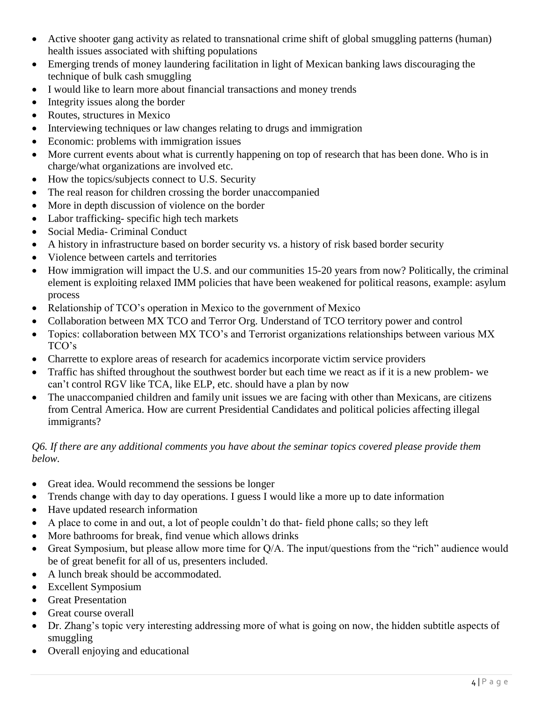- Active shooter gang activity as related to transnational crime shift of global smuggling patterns (human) health issues associated with shifting populations
- Emerging trends of money laundering facilitation in light of Mexican banking laws discouraging the technique of bulk cash smuggling
- I would like to learn more about financial transactions and money trends
- Integrity issues along the border
- Routes, structures in Mexico
- Interviewing techniques or law changes relating to drugs and immigration
- Economic: problems with immigration issues
- More current events about what is currently happening on top of research that has been done. Who is in charge/what organizations are involved etc.
- How the topics/subjects connect to U.S. Security
- The real reason for children crossing the border unaccompanied
- More in depth discussion of violence on the border
- Labor trafficking- specific high tech markets
- Social Media- Criminal Conduct
- A history in infrastructure based on border security vs. a history of risk based border security
- Violence between cartels and territories
- How immigration will impact the U.S. and our communities 15-20 years from now? Politically, the criminal element is exploiting relaxed IMM policies that have been weakened for political reasons, example: asylum process
- Relationship of TCO's operation in Mexico to the government of Mexico
- Collaboration between MX TCO and Terror Org. Understand of TCO territory power and control
- Topics: collaboration between MX TCO's and Terrorist organizations relationships between various MX TCO's
- Charrette to explore areas of research for academics incorporate victim service providers
- Traffic has shifted throughout the southwest border but each time we react as if it is a new problem- we can't control RGV like TCA, like ELP, etc. should have a plan by now
- The unaccompanied children and family unit issues we are facing with other than Mexicans, are citizens from Central America. How are current Presidential Candidates and political policies affecting illegal immigrants?

#### *Q6. If there are any additional comments you have about the seminar topics covered please provide them below.*

- Great idea. Would recommend the sessions be longer
- Trends change with day to day operations. I guess I would like a more up to date information
- Have updated research information
- A place to come in and out, a lot of people couldn't do that- field phone calls; so they left
- More bathrooms for break, find venue which allows drinks
- Great Symposium, but please allow more time for Q/A. The input/questions from the "rich" audience would be of great benefit for all of us, presenters included.
- A lunch break should be accommodated.
- Excellent Symposium
- Great Presentation
- Great course overall
- Dr. Zhang's topic very interesting addressing more of what is going on now, the hidden subtitle aspects of smuggling
- Overall enjoying and educational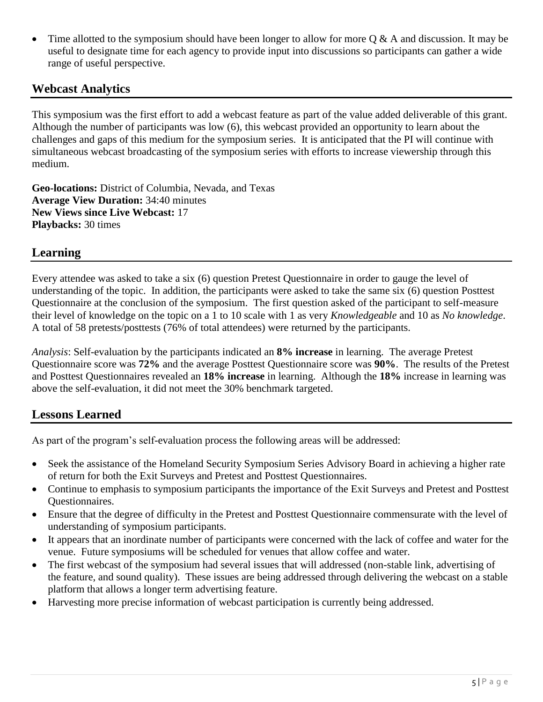Time allotted to the symposium should have been longer to allow for more  $Q \& A$  and discussion. It may be useful to designate time for each agency to provide input into discussions so participants can gather a wide range of useful perspective.

## **Webcast Analytics**

This symposium was the first effort to add a webcast feature as part of the value added deliverable of this grant. Although the number of participants was low (6), this webcast provided an opportunity to learn about the challenges and gaps of this medium for the symposium series. It is anticipated that the PI will continue with simultaneous webcast broadcasting of the symposium series with efforts to increase viewership through this medium.

**Geo-locations:** District of Columbia, Nevada, and Texas **Average View Duration:** 34:40 minutes **New Views since Live Webcast:** 17 **Playbacks:** 30 times

## **Learning**

Every attendee was asked to take a six (6) question Pretest Questionnaire in order to gauge the level of understanding of the topic. In addition, the participants were asked to take the same six (6) question Posttest Questionnaire at the conclusion of the symposium. The first question asked of the participant to self-measure their level of knowledge on the topic on a 1 to 10 scale with 1 as very *Knowledgeable* and 10 as *No knowledge*. A total of 58 pretests/posttests (76% of total attendees) were returned by the participants.

*Analysis*: Self-evaluation by the participants indicated an **8% increase** in learning. The average Pretest Questionnaire score was **72%** and the average Posttest Questionnaire score was **90%**. The results of the Pretest and Posttest Questionnaires revealed an **18% increase** in learning. Although the **18%** increase in learning was above the self-evaluation, it did not meet the 30% benchmark targeted.

## **Lessons Learned**

As part of the program's self-evaluation process the following areas will be addressed:

- Seek the assistance of the Homeland Security Symposium Series Advisory Board in achieving a higher rate of return for both the Exit Surveys and Pretest and Posttest Questionnaires.
- Continue to emphasis to symposium participants the importance of the Exit Surveys and Pretest and Posttest Questionnaires.
- Ensure that the degree of difficulty in the Pretest and Posttest Questionnaire commensurate with the level of understanding of symposium participants.
- It appears that an inordinate number of participants were concerned with the lack of coffee and water for the venue. Future symposiums will be scheduled for venues that allow coffee and water.
- The first webcast of the symposium had several issues that will addressed (non-stable link, advertising of the feature, and sound quality). These issues are being addressed through delivering the webcast on a stable platform that allows a longer term advertising feature.
- Harvesting more precise information of webcast participation is currently being addressed.